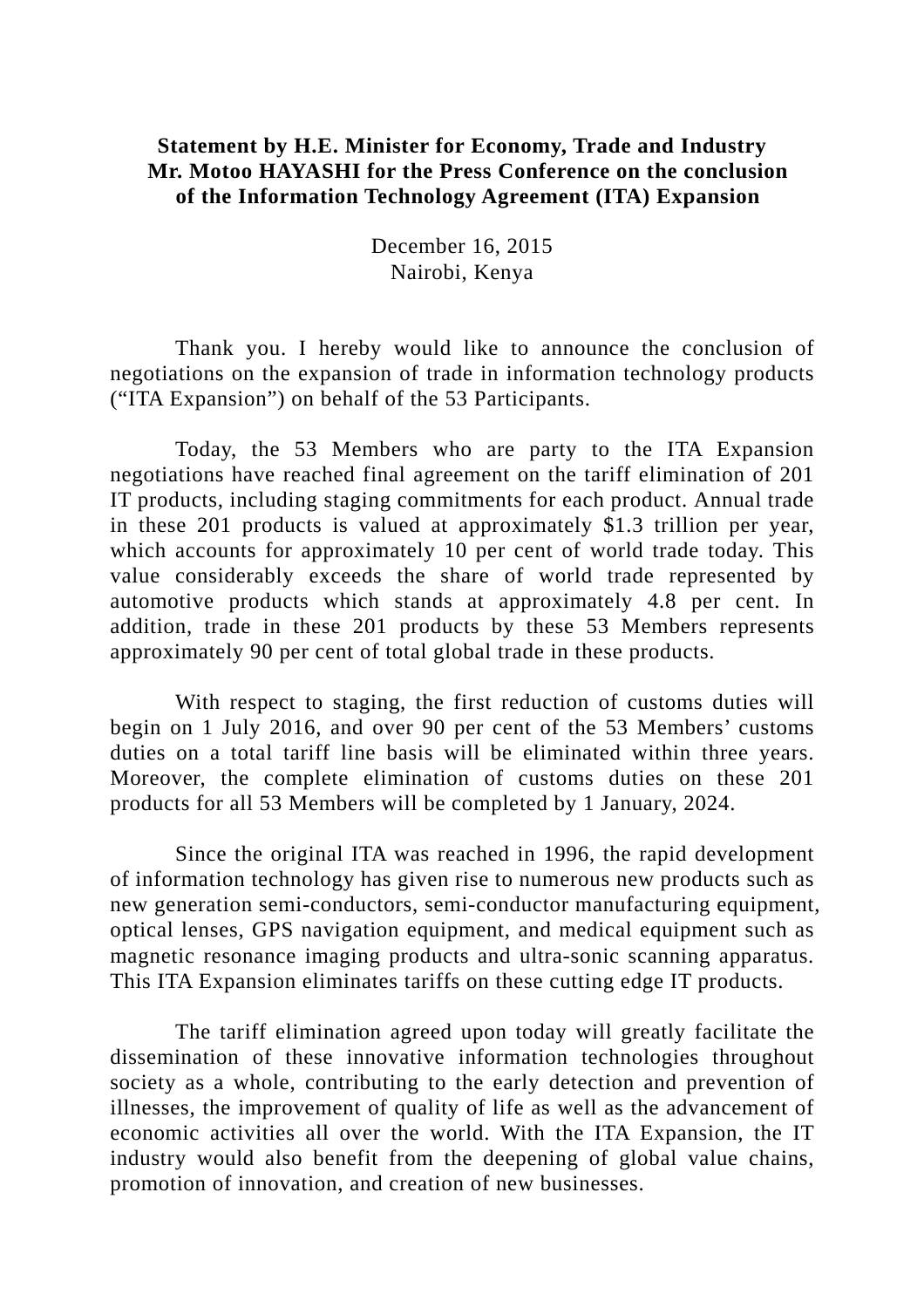## **Statement by H.E. Minister for Economy, Trade and Industry Mr. Motoo HAYASHI for the Press Conference on the conclusion of the Information Technology Agreement (ITA) Expansion**

December 16, 2015 Nairobi, Kenya

Thank you. I hereby would like to announce the conclusion of negotiations on the expansion of trade in information technology products ("ITA Expansion") on behalf of the 53 Participants.

Today, the 53 Members who are party to the ITA Expansion negotiations have reached final agreement on the tariff elimination of 201 IT products, including staging commitments for each product. Annual trade in these 201 products is valued at approximately \$1.3 trillion per year, which accounts for approximately 10 per cent of world trade today. This value considerably exceeds the share of world trade represented by automotive products which stands at approximately 4.8 per cent. In addition, trade in these 201 products by these 53 Members represents approximately 90 per cent of total global trade in these products.

With respect to staging, the first reduction of customs duties will begin on 1 July 2016, and over 90 per cent of the 53 Members' customs duties on a total tariff line basis will be eliminated within three years. Moreover, the complete elimination of customs duties on these 201 products for all 53 Members will be completed by 1 January, 2024.

Since the original ITA was reached in 1996, the rapid development of information technology has given rise to numerous new products such as new generation semi-conductors, semi-conductor manufacturing equipment, optical lenses, GPS navigation equipment, and medical equipment such as magnetic resonance imaging products and ultra-sonic scanning apparatus. This ITA Expansion eliminates tariffs on these cutting edge IT products.

The tariff elimination agreed upon today will greatly facilitate the dissemination of these innovative information technologies throughout society as a whole, contributing to the early detection and prevention of illnesses, the improvement of quality of life as well as the advancement of economic activities all over the world. With the ITA Expansion, the IT industry would also benefit from the deepening of global value chains, promotion of innovation, and creation of new businesses.